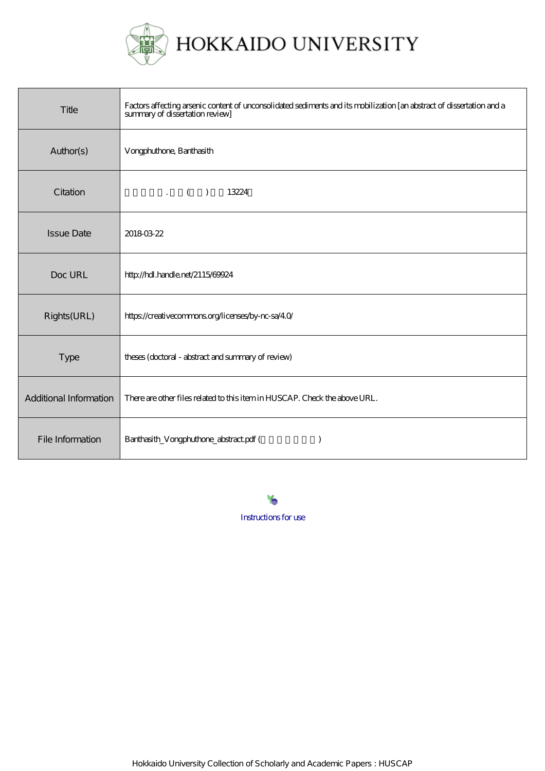

| Title                  | Factors affecting arsenic content of unconsolidated sediments and its mobilization [an abstract of dissertation and a<br>summary of dissertation review] |
|------------------------|----------------------------------------------------------------------------------------------------------------------------------------------------------|
| Author(s)              | Vorgphuthone, Banthasith                                                                                                                                 |
| Citation               | $\cdot$ ( )<br>13224                                                                                                                                     |
| <b>Issue Date</b>      | 20180322                                                                                                                                                 |
| Doc URL                | http://hdl.handle.net/2115/69924                                                                                                                         |
| Rights(URL)            | https://creativecommons.org/licenses/by-nc-sa/40/                                                                                                        |
| <b>Type</b>            | theses (doctoral - abstract and summary of review)                                                                                                       |
| Additional Information | There are other files related to this item in HUSCAP. Check the above URL.                                                                               |
| File Information       | Banthasith_Vongphuthone_abstract.pdf (                                                                                                                   |

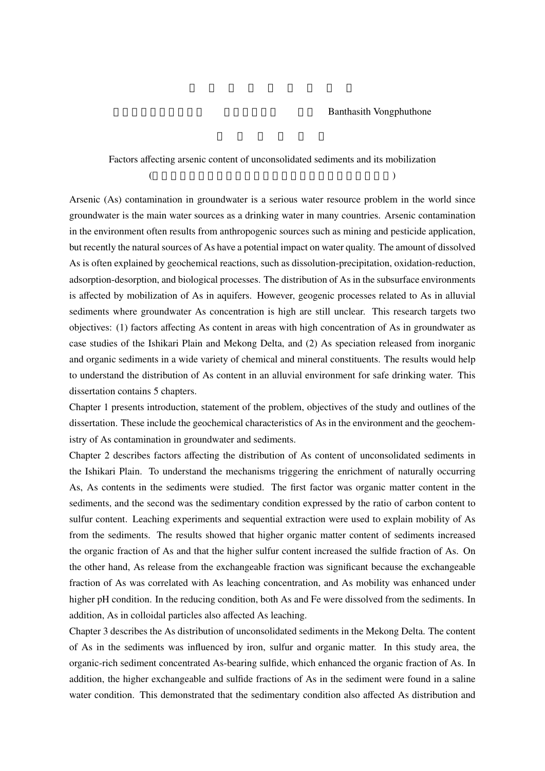## Banthasith Vongphuthone

## Factors affecting arsenic content of unconsolidated sediments and its mobilization (as a set of  $\overline{z}$ )

Arsenic (As) contamination in groundwater is a serious water resource problem in the world since groundwater is the main water sources as a drinking water in many countries. Arsenic contamination in the environment often results from anthropogenic sources such as mining and pesticide application, but recently the natural sources of As have a potential impact on water quality. The amount of dissolved As is often explained by geochemical reactions, such as dissolution-precipitation, oxidation-reduction, adsorption-desorption, and biological processes. The distribution of As in the subsurface environments is affected by mobilization of As in aquifers. However, geogenic processes related to As in alluvial sediments where groundwater As concentration is high are still unclear. This research targets two objectives: (1) factors affecting As content in areas with high concentration of As in groundwater as case studies of the Ishikari Plain and Mekong Delta, and (2) As speciation released from inorganic and organic sediments in a wide variety of chemical and mineral constituents. The results would help to understand the distribution of As content in an alluvial environment for safe drinking water. This dissertation contains 5 chapters.

Chapter 1 presents introduction, statement of the problem, objectives of the study and outlines of the dissertation. These include the geochemical characteristics of As in the environment and the geochemistry of As contamination in groundwater and sediments.

Chapter 2 describes factors affecting the distribution of As content of unconsolidated sediments in the Ishikari Plain. To understand the mechanisms triggering the enrichment of naturally occurring As, As contents in the sediments were studied. The first factor was organic matter content in the sediments, and the second was the sedimentary condition expressed by the ratio of carbon content to sulfur content. Leaching experiments and sequential extraction were used to explain mobility of As from the sediments. The results showed that higher organic matter content of sediments increased the organic fraction of As and that the higher sulfur content increased the sulfide fraction of As. On the other hand, As release from the exchangeable fraction was significant because the exchangeable fraction of As was correlated with As leaching concentration, and As mobility was enhanced under higher pH condition. In the reducing condition, both As and Fe were dissolved from the sediments. In addition, As in colloidal particles also affected As leaching.

Chapter 3 describes the As distribution of unconsolidated sediments in the Mekong Delta. The content of As in the sediments was influenced by iron, sulfur and organic matter. In this study area, the organic-rich sediment concentrated As-bearing sulfide, which enhanced the organic fraction of As. In addition, the higher exchangeable and sulfide fractions of As in the sediment were found in a saline water condition. This demonstrated that the sedimentary condition also affected As distribution and